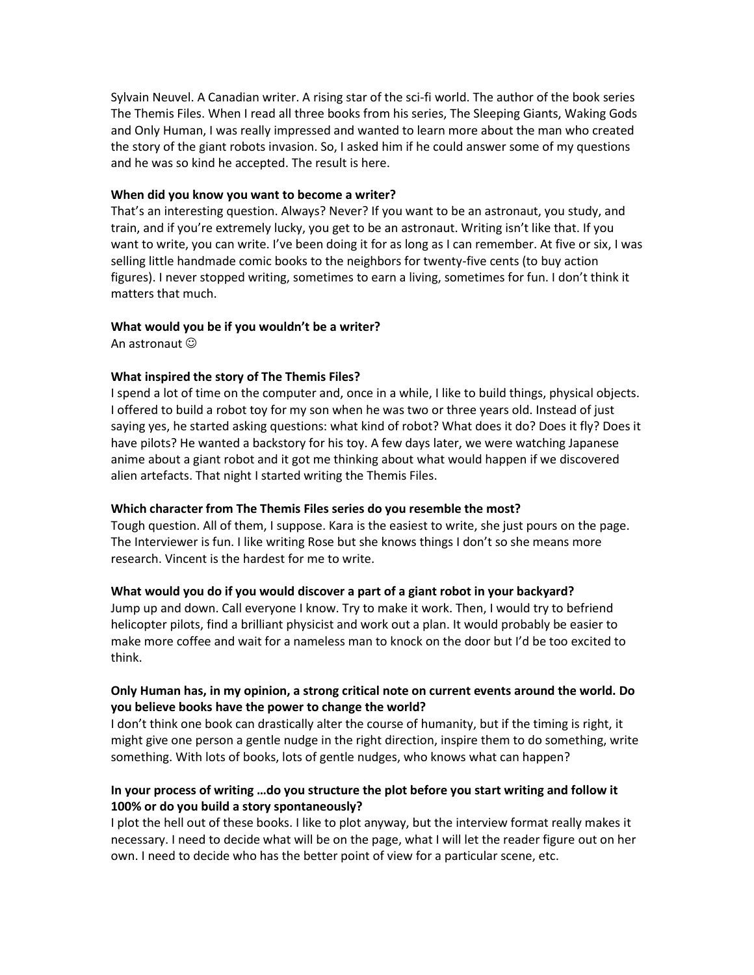Sylvain Neuvel. A Canadian writer. A rising star of the sci-fi world. The author of the book series The Themis Files. When I read all three books from his series, The Sleeping Giants, Waking Gods and Only Human, I was really impressed and wanted to learn more about the man who created the story of the giant robots invasion. So, I asked him if he could answer some of my questions and he was so kind he accepted. The result is here.

#### **When did you know you want to become a writer?**

That's an interesting question. Always? Never? If you want to be an astronaut, you study, and train, and if you're extremely lucky, you get to be an astronaut. Writing isn't like that. If you want to write, you can write. I've been doing it for as long as I can remember. At five or six, I was selling little handmade comic books to the neighbors for twenty-five cents (to buy action figures). I never stopped writing, sometimes to earn a living, sometimes for fun. I don't think it matters that much.

# **What would you be if you wouldn't be a writer?**

An astronaut  $\odot$ 

# **What inspired the story of The Themis Files?**

I spend a lot of time on the computer and, once in a while, I like to build things, physical objects. I offered to build a robot toy for my son when he was two or three years old. Instead of just saying yes, he started asking questions: what kind of robot? What does it do? Does it fly? Does it have pilots? He wanted a backstory for his toy. A few days later, we were watching Japanese anime about a giant robot and it got me thinking about what would happen if we discovered alien artefacts. That night I started writing the Themis Files.

# **Which character from The Themis Files series do you resemble the most?**

Tough question. All of them, I suppose. Kara is the easiest to write, she just pours on the page. The Interviewer is fun. I like writing Rose but she knows things I don't so she means more research. Vincent is the hardest for me to write.

# **What would you do if you would discover a part of a giant robot in your backyard?**

Jump up and down. Call everyone I know. Try to make it work. Then, I would try to befriend helicopter pilots, find a brilliant physicist and work out a plan. It would probably be easier to make more coffee and wait for a nameless man to knock on the door but I'd be too excited to think.

# **Only Human has, in my opinion, a strong critical note on current events around the world. Do you believe books have the power to change the world?**

I don't think one book can drastically alter the course of humanity, but if the timing is right, it might give one person a gentle nudge in the right direction, inspire them to do something, write something. With lots of books, lots of gentle nudges, who knows what can happen?

# **In your process of writing …do you structure the plot before you start writing and follow it 100% or do you build a story spontaneously?**

I plot the hell out of these books. I like to plot anyway, but the interview format really makes it necessary. I need to decide what will be on the page, what I will let the reader figure out on her own. I need to decide who has the better point of view for a particular scene, etc.